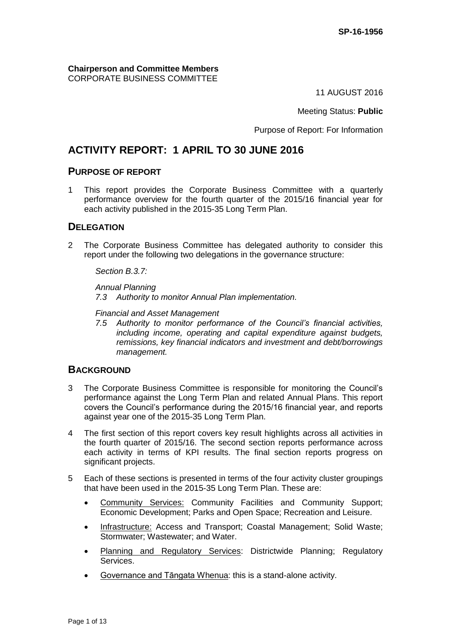**Chairperson and Committee Members** CORPORATE BUSINESS COMMITTEE

11 AUGUST 2016

Meeting Status: **Public**

Purpose of Report: For Information

# **ACTIVITY REPORT: 1 APRIL TO 30 JUNE 2016**

## **PURPOSE OF REPORT**

1 This report provides the Corporate Business Committee with a quarterly performance overview for the fourth quarter of the 2015/16 financial year for each activity published in the 2015-35 Long Term Plan.

# **DELEGATION**

2 The Corporate Business Committee has delegated authority to consider this report under the following two delegations in the governance structure:

*Section B.3.7:*

*Annual Planning 7.3 Authority to monitor Annual Plan implementation.*

*Financial and Asset Management*

*7.5 Authority to monitor performance of the Council's financial activities, including income, operating and capital expenditure against budgets, remissions, key financial indicators and investment and debt/borrowings management.*

## **BACKGROUND**

- 3 The Corporate Business Committee is responsible for monitoring the Council's performance against the Long Term Plan and related Annual Plans. This report covers the Council's performance during the 2015/16 financial year, and reports against year one of the 2015-35 Long Term Plan.
- 4 The first section of this report covers key result highlights across all activities in the fourth quarter of 2015/16. The second section reports performance across each activity in terms of KPI results. The final section reports progress on significant projects.
- 5 Each of these sections is presented in terms of the four activity cluster groupings that have been used in the 2015-35 Long Term Plan. These are:
	- Community Services: Community Facilities and Community Support; Economic Development; Parks and Open Space; Recreation and Leisure.
	- Infrastructure: Access and Transport; Coastal Management; Solid Waste; Stormwater; Wastewater; and Water.
	- Planning and Regulatory Services: Districtwide Planning; Regulatory Services.
	- Governance and Tāngata Whenua: this is a stand-alone activity.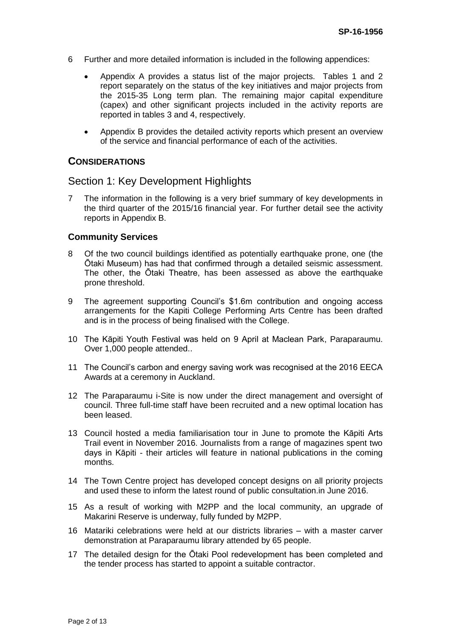- 6 Further and more detailed information is included in the following appendices:
	- Appendix A provides a status list of the major projects. Tables 1 and 2 report separately on the status of the key initiatives and major projects from the 2015-35 Long term plan. The remaining major capital expenditure (capex) and other significant projects included in the activity reports are reported in tables 3 and 4, respectively.
	- Appendix B provides the detailed activity reports which present an overview of the service and financial performance of each of the activities.

## **CONSIDERATIONS**

## Section 1: Key Development Highlights

7 The information in the following is a very brief summary of key developments in the third quarter of the 2015/16 financial year. For further detail see the activity reports in Appendix B.

### **Community Services**

- 8 Of the two council buildings identified as potentially earthquake prone, one (the Ōtaki Museum) has had that confirmed through a detailed seismic assessment. The other, the Ōtaki Theatre, has been assessed as above the earthquake prone threshold.
- 9 The agreement supporting Council's \$1.6m contribution and ongoing access arrangements for the Kapiti College Performing Arts Centre has been drafted and is in the process of being finalised with the College.
- 10 The Kāpiti Youth Festival was held on 9 April at Maclean Park, Paraparaumu. Over 1,000 people attended..
- 11 The Council's carbon and energy saving work was recognised at the 2016 EECA Awards at a ceremony in Auckland.
- 12 The Paraparaumu i-Site is now under the direct management and oversight of council. Three full-time staff have been recruited and a new optimal location has been leased.
- 13 Council hosted a media familiarisation tour in June to promote the Kāpiti Arts Trail event in November 2016. Journalists from a range of magazines spent two days in Kāpiti - their articles will feature in national publications in the coming months.
- 14 The Town Centre project has developed concept designs on all priority projects and used these to inform the latest round of public consultation.in June 2016.
- 15 As a result of working with M2PP and the local community, an upgrade of Makarini Reserve is underway, fully funded by M2PP.
- 16 Matariki celebrations were held at our districts libraries with a master carver demonstration at Paraparaumu library attended by 65 people.
- 17 The detailed design for the Ōtaki Pool redevelopment has been completed and the tender process has started to appoint a suitable contractor.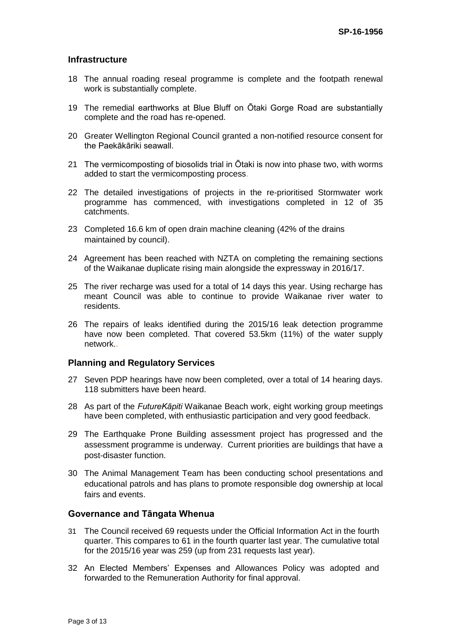### **Infrastructure**

- 18 The annual roading reseal programme is complete and the footpath renewal work is substantially complete.
- 19 The remedial earthworks at Blue Bluff on Ōtaki Gorge Road are substantially complete and the road has re-opened.
- 20 Greater Wellington Regional Council granted a non-notified resource consent for the Paekākāriki seawall.
- 21 The vermicomposting of biosolids trial in Ōtaki is now into phase two, with worms added to start the vermicomposting process.
- 22 The detailed investigations of projects in the re-prioritised Stormwater work programme has commenced, with investigations completed in 12 of 35 catchments.
- 23 Completed 16.6 km of open drain machine cleaning (42% of the drains maintained by council).
- 24 Agreement has been reached with NZTA on completing the remaining sections of the Waikanae duplicate rising main alongside the expressway in 2016/17.
- 25 The river recharge was used for a total of 14 days this year. Using recharge has meant Council was able to continue to provide Waikanae river water to residents.
- 26 The repairs of leaks identified during the 2015/16 leak detection programme have now been completed. That covered 53.5km (11%) of the water supply network..

### **Planning and Regulatory Services**

- 27 Seven PDP hearings have now been completed, over a total of 14 hearing days. 118 submitters have been heard.
- 28 As part of the *FutureKāpiti* Waikanae Beach work, eight working group meetings have been completed, with enthusiastic participation and very good feedback.
- 29 The Earthquake Prone Building assessment project has progressed and the assessment programme is underway. Current priorities are buildings that have a post-disaster function.
- 30 The Animal Management Team has been conducting school presentations and educational patrols and has plans to promote responsible dog ownership at local fairs and events.

#### **Governance and Tāngata Whenua**

- 31 The Council received 69 requests under the Official Information Act in the fourth quarter. This compares to 61 in the fourth quarter last year. The cumulative total for the 2015/16 year was 259 (up from 231 requests last year).
- 32 An Elected Members' Expenses and Allowances Policy was adopted and forwarded to the Remuneration Authority for final approval.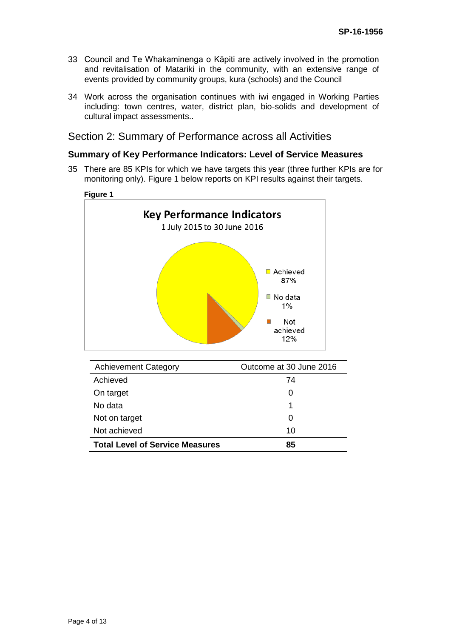- 33 Council and Te Whakaminenga o Kāpiti are actively involved in the promotion and revitalisation of Matariki in the community, with an extensive range of events provided by community groups, kura (schools) and the Council
- 34 Work across the organisation continues with iwi engaged in Working Parties including: town centres, water, district plan, bio-solids and development of cultural impact assessments..

## Section 2: Summary of Performance across all Activities

## **Summary of Key Performance Indicators: Level of Service Measures**

35 There are 85 KPIs for which we have targets this year (three further KPIs are for monitoring only). Figure 1 below reports on KPI results against their targets.



| <b>Achievement Category</b>            | Outcome at 30 June 2016 |
|----------------------------------------|-------------------------|
| Achieved                               | 74                      |
| On target                              | 0                       |
| No data                                | 1                       |
| Not on target                          | 0                       |
| Not achieved                           | 10                      |
| <b>Total Level of Service Measures</b> | 85                      |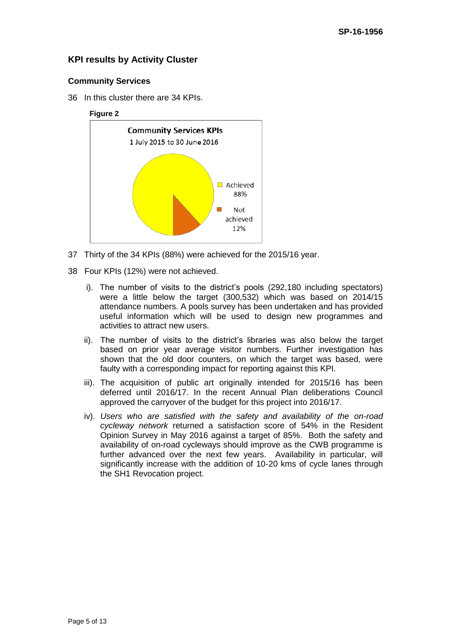## **KPI results by Activity Cluster**

#### **Community Services**

36 In this cluster there are 34 KPIs.

### **Figure 2**



- 37 Thirty of the 34 KPIs (88%) were achieved for the 2015/16 year.
- 38 Four KPIs (12%) were not achieved.
	- i). The number of visits to the district's pools (292,180 including spectators) were a little below the target (300,532) which was based on 2014/15 attendance numbers. A pools survey has been undertaken and has provided useful information which will be used to design new programmes and activities to attract new users.
	- ii). The number of visits to the district's libraries was also below the target based on prior year average visitor numbers. Further investigation has shown that the old door counters, on which the target was based, were faulty with a corresponding impact for reporting against this KPI.
	- iii). The acquisition of public art originally intended for 2015/16 has been deferred until 2016/17. In the recent Annual Plan deliberations Council approved the carryover of the budget for this project into 2016/17.
	- iv). *Users who are satisfied with the safety and availability of the on-road cycleway network* returned a satisfaction score of 54% in the Resident Opinion Survey in May 2016 against a target of 85%. Both the safety and availability of on-road cycleways should improve as the CWB programme is further advanced over the next few years. Availability in particular, will significantly increase with the addition of 10-20 kms of cycle lanes through the SH1 Revocation project.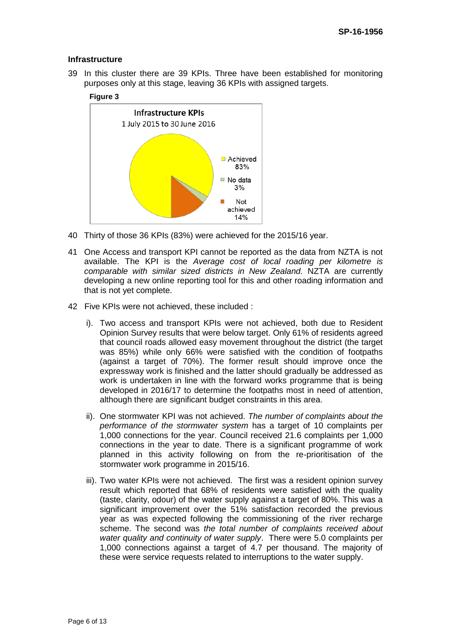#### **Infrastructure**

39 In this cluster there are 39 KPIs. Three have been established for monitoring purposes only at this stage, leaving 36 KPIs with assigned targets.

#### **Figure 3**



- 40 Thirty of those 36 KPIs (83%) were achieved for the 2015/16 year.
- 41 One Access and transport KPI cannot be reported as the data from NZTA is not available. The KPI is the *Average cost of local roading per kilometre is comparable with similar sized districts in New Zealand.* NZTA are currently developing a new online reporting tool for this and other roading information and that is not yet complete.
- 42 Five KPIs were not achieved, these included :
	- i). Two access and transport KPIs were not achieved, both due to Resident Opinion Survey results that were below target. Only 61% of residents agreed that council roads allowed easy movement throughout the district (the target was 85%) while only 66% were satisfied with the condition of footpaths (against a target of 70%). The former result should improve once the expressway work is finished and the latter should gradually be addressed as work is undertaken in line with the forward works programme that is being developed in 2016/17 to determine the footpaths most in need of attention, although there are significant budget constraints in this area.
	- ii). One stormwater KPI was not achieved. *The number of complaints about the performance of the stormwater system* has a target of 10 complaints per 1,000 connections for the year. Council received 21.6 complaints per 1,000 connections in the year to date. There is a significant programme of work planned in this activity following on from the re-prioritisation of the stormwater work programme in 2015/16.
	- iii). Two water KPIs were not achieved. The first was a resident opinion survey result which reported that 68% of residents were satisfied with the quality (taste, clarity, odour) of the water supply against a target of 80%. This was a significant improvement over the 51% satisfaction recorded the previous year as was expected following the commissioning of the river recharge scheme. The second was *the total number of complaints received about water quality and continuity of water supply*. There were 5.0 complaints per 1,000 connections against a target of 4.7 per thousand. The majority of these were service requests related to interruptions to the water supply.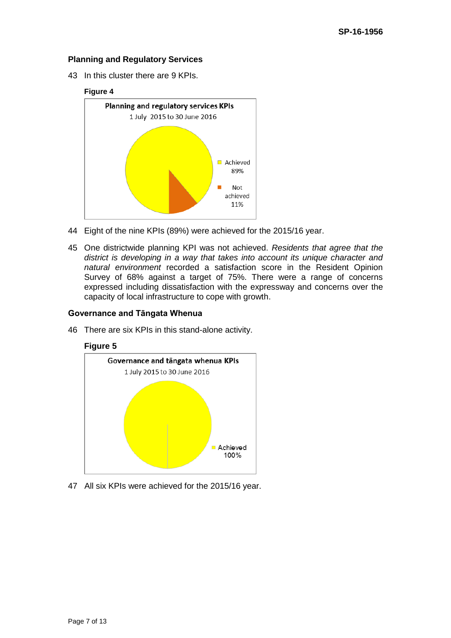#### **Planning and Regulatory Services**

43 In this cluster there are 9 KPIs.

#### **Figure 4**



- 44 Eight of the nine KPIs (89%) were achieved for the 2015/16 year.
- 45 One districtwide planning KPI was not achieved. *Residents that agree that the district is developing in a way that takes into account its unique character and natural environment* recorded a satisfaction score in the Resident Opinion Survey of 68% against a target of 75%. There were a range of concerns expressed including dissatisfaction with the expressway and concerns over the capacity of local infrastructure to cope with growth.

#### **Governance and Tāngata Whenua**

46 There are six KPIs in this stand-alone activity.





47 All six KPIs were achieved for the 2015/16 year.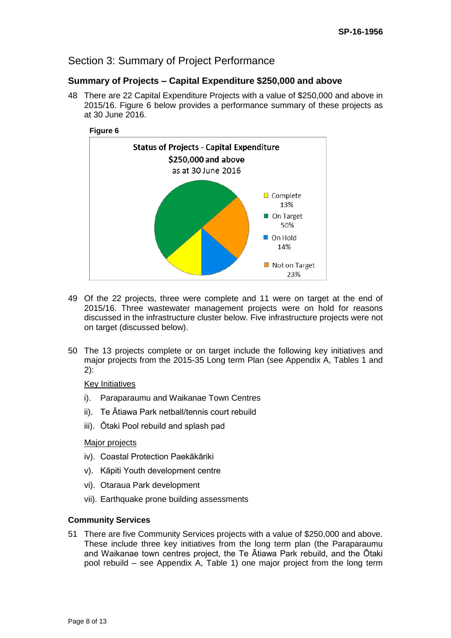# Section 3: Summary of Project Performance

## **Summary of Projects – Capital Expenditure \$250,000 and above**

48 There are 22 Capital Expenditure Projects with a value of \$250,000 and above in 2015/16. Figure 6 below provides a performance summary of these projects as at 30 June 2016.



- 49 Of the 22 projects, three were complete and 11 were on target at the end of 2015/16. Three wastewater management projects were on hold for reasons discussed in the infrastructure cluster below. Five infrastructure projects were not on target (discussed below).
- 50 The 13 projects complete or on target include the following key initiatives and major projects from the 2015-35 Long term Plan (see Appendix A, Tables 1 and 2):

#### Key Initiatives

- i). Paraparaumu and Waikanae Town Centres
- ii). Te Ātiawa Park netball/tennis court rebuild
- iii). Ōtaki Pool rebuild and splash pad

#### Major projects

- iv). Coastal Protection Paekākāriki
- v). Kāpiti Youth development centre
- vi). Otaraua Park development
- vii). Earthquake prone building assessments

### **Community Services**

51 There are five Community Services projects with a value of \$250,000 and above. These include three key initiatives from the long term plan (the Paraparaumu and Waikanae town centres project, the Te Ātiawa Park rebuild, and the Ōtaki pool rebuild – see Appendix A, Table 1) one major project from the long term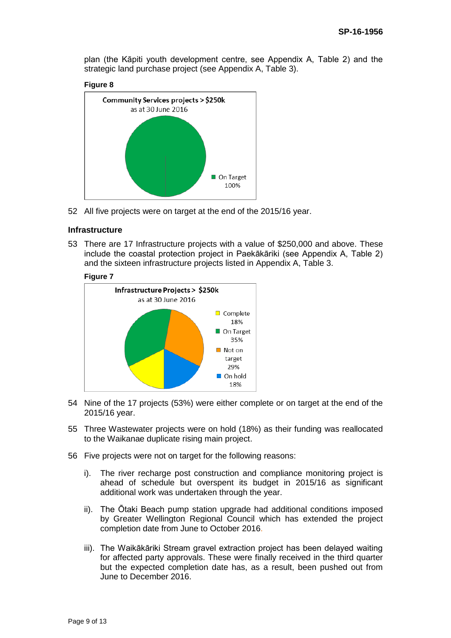plan (the Kāpiti youth development centre, see Appendix A, Table 2) and the strategic land purchase project (see Appendix A, Table 3).





52 All five projects were on target at the end of the 2015/16 year.

#### **Infrastructure**

53 There are 17 Infrastructure projects with a value of \$250,000 and above. These include the coastal protection project in Paekākāriki (see Appendix A, Table 2) and the sixteen infrastructure projects listed in Appendix A, Table 3.

#### **Figure 7**



- 54 Nine of the 17 projects (53%) were either complete or on target at the end of the 2015/16 year.
- 55 Three Wastewater projects were on hold (18%) as their funding was reallocated to the Waikanae duplicate rising main project.
- 56 Five projects were not on target for the following reasons:
	- i). The river recharge post construction and compliance monitoring project is ahead of schedule but overspent its budget in 2015/16 as significant additional work was undertaken through the year.
	- ii). The Ōtaki Beach pump station upgrade had additional conditions imposed by Greater Wellington Regional Council which has extended the project completion date from June to October 2016.
	- iii). The Waikākāriki Stream gravel extraction project has been delayed waiting for affected party approvals. These were finally received in the third quarter but the expected completion date has, as a result, been pushed out from June to December 2016.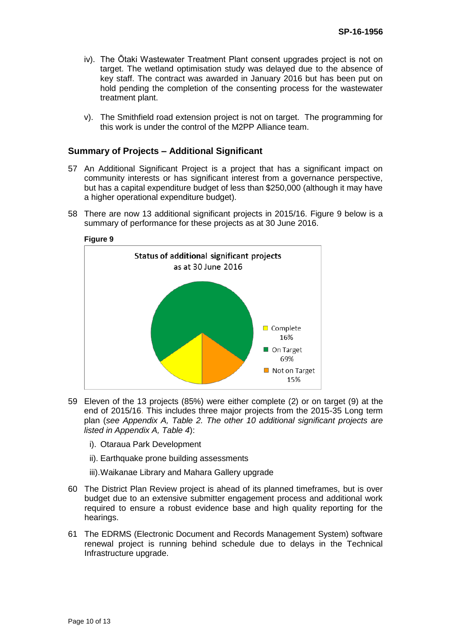- iv). The Ōtaki Wastewater Treatment Plant consent upgrades project is not on target. The wetland optimisation study was delayed due to the absence of key staff. The contract was awarded in January 2016 but has been put on hold pending the completion of the consenting process for the wastewater treatment plant.
- v). The Smithfield road extension project is not on target. The programming for this work is under the control of the M2PP Alliance team.

#### **Summary of Projects – Additional Significant**

- 57 An Additional Significant Project is a project that has a significant impact on community interests or has significant interest from a governance perspective, but has a capital expenditure budget of less than \$250,000 (although it may have a higher operational expenditure budget).
- 58 There are now 13 additional significant projects in 2015/16. Figure 9 below is a summary of performance for these projects as at 30 June 2016.



- 59 Eleven of the 13 projects (85%) were either complete (2) or on target (9) at the end of 2015/16. This includes three major projects from the 2015-35 Long term plan (*see Appendix A, Table 2. The other 10 additional significant projects are listed in Appendix A, Table 4*):
	- i). Otaraua Park Development
	- ii). Earthquake prone building assessments
	- iii).Waikanae Library and Mahara Gallery upgrade
- 60 The District Plan Review project is ahead of its planned timeframes, but is over budget due to an extensive submitter engagement process and additional work required to ensure a robust evidence base and high quality reporting for the hearings.
- 61 The EDRMS (Electronic Document and Records Management System) software renewal project is running behind schedule due to delays in the Technical Infrastructure upgrade.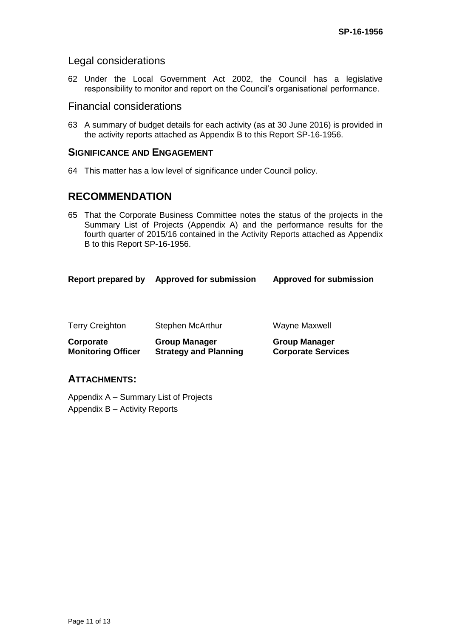## Legal considerations

62 Under the Local Government Act 2002, the Council has a legislative responsibility to monitor and report on the Council's organisational performance.

## Financial considerations

63 A summary of budget details for each activity (as at 30 June 2016) is provided in the activity reports attached as Appendix B to this Report SP-16-1956.

## **SIGNIFICANCE AND ENGAGEMENT**

64 This matter has a low level of significance under Council policy.

# **RECOMMENDATION**

65 That the Corporate Business Committee notes the status of the projects in the Summary List of Projects (Appendix A) and the performance results for the fourth quarter of 2015/16 contained in the Activity Reports attached as Appendix B to this Report SP-16-1956.

| <b>Terry Creighton</b><br>Corporate | Stephen McArthur<br><b>Group Manager</b> | Wayne Maxwell<br><b>Group Manager</b> |  |
|-------------------------------------|------------------------------------------|---------------------------------------|--|
|                                     |                                          |                                       |  |
| Report prepared by                  | <b>Approved for submission</b>           | <b>Approved for submission</b>        |  |

## **ATTACHMENTS:**

Appendix A – Summary List of Projects Appendix B – Activity Reports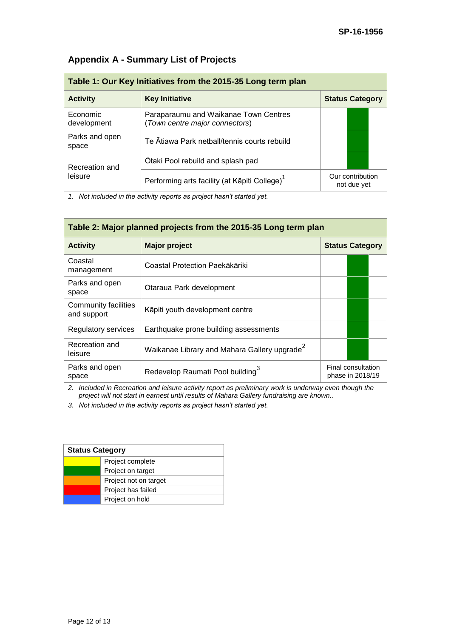| Table 1: Our Key Initiatives from the 2015-35 Long term plan |                                                                         |                                 |
|--------------------------------------------------------------|-------------------------------------------------------------------------|---------------------------------|
| <b>Activity</b>                                              | <b>Key Initiative</b>                                                   | <b>Status Category</b>          |
| Economic<br>development                                      | Paraparaumu and Waikanae Town Centres<br>(Town centre major connectors) |                                 |
| Parks and open<br>space                                      | Te Ātiawa Park netball/tennis courts rebuild                            |                                 |
| Recreation and<br>leisure                                    | Otaki Pool rebuild and splash pad                                       |                                 |
|                                                              | Performing arts facility (at Kāpiti College) <sup>1</sup>               | Our contribution<br>not due yet |

# **Appendix A - Summary List of Projects**

*1. Not included in the activity reports as project hasn't started yet.*

| Table 2: Major planned projects from the 2015-35 Long term plan |                                                          |                                        |  |
|-----------------------------------------------------------------|----------------------------------------------------------|----------------------------------------|--|
| <b>Activity</b>                                                 | <b>Major project</b>                                     | <b>Status Category</b>                 |  |
| Coastal<br>management                                           | Coastal Protection Paekākāriki                           |                                        |  |
| Parks and open<br>space                                         | Otaraua Park development                                 |                                        |  |
| Community facilities<br>and support                             | Kāpiti youth development centre                          |                                        |  |
| Regulatory services                                             | Earthquake prone building assessments                    |                                        |  |
| Recreation and<br>leisure                                       | Waikanae Library and Mahara Gallery upgrade <sup>2</sup> |                                        |  |
| Parks and open<br>space                                         | Redevelop Raumati Pool building <sup>3</sup>             | Final consultation<br>phase in 2018/19 |  |

*2. Included in Recreation and leisure activity report as preliminary work is underway even though the project will not start in earnest until results of Mahara Gallery fundraising are known..*

*3. Not included in the activity reports as project hasn't started yet.*

| <b>Status Category</b> |                       |
|------------------------|-----------------------|
|                        | Project complete      |
|                        | Project on target     |
|                        | Project not on target |
|                        | Project has failed    |
|                        | Project on hold       |